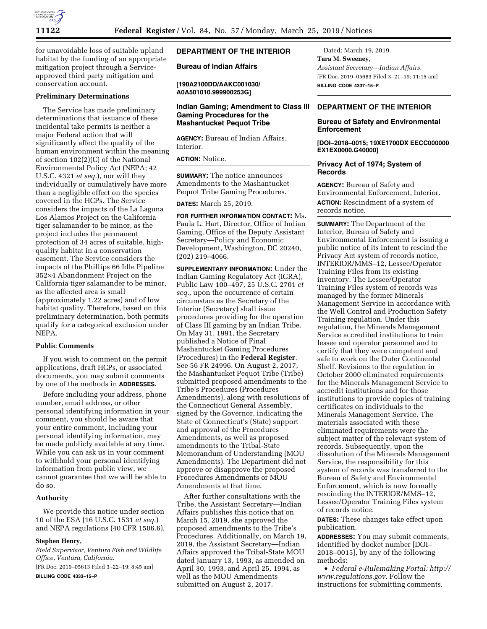

for unavoidable loss of suitable upland habitat by the funding of an appropriate mitigation project through a Serviceapproved third party mitigation and conservation account.

## **Preliminary Determinations**

The Service has made preliminary determinations that issuance of these incidental take permits is neither a major Federal action that will significantly affect the quality of the human environment within the meaning of section 102(2)(C) of the National Environmental Policy Act (NEPA; 42 U.S.C. 4321 *et seq.*), nor will they individually or cumulatively have more than a negligible effect on the species covered in the HCPs. The Service considers the impacts of the La Laguna Los Alamos Project on the California tiger salamander to be minor, as the project includes the permanent protection of 34 acres of suitable, highquality habitat in a conservation easement. The Service considers the impacts of the Phillips 66 Idle Pipeline 352×4 Abandonment Project on the California tiger salamander to be minor, as the affected area is small (approximately 1.22 acres) and of low habitat quality. Therefore, based on this preliminary determination, both permits qualify for a categorical exclusion under NEPA.

## **Public Comments**

If you wish to comment on the permit applications, draft HCPs, or associated documents, you may submit comments by one of the methods in **ADDRESSES**.

Before including your address, phone number, email address, or other personal identifying information in your comment, you should be aware that your entire comment, including your personal identifying information, may be made publicly available at any time. While you can ask us in your comment to withhold your personal identifying information from public view, we cannot guarantee that we will be able to do so.

## **Authority**

We provide this notice under section 10 of the ESA (16 U.S.C. 1531 *et seq.*) and NEPA regulations (40 CFR 1506.6).

## **Stephen Henry,**

*Field Supervisor, Ventura Fish and Wildlife Office, Ventura, California.*  [FR Doc. 2019–05613 Filed 3–22–19; 8:45 am]

**BILLING CODE 4333–15–P** 

## **DEPARTMENT OF THE INTERIOR**

**Bureau of Indian Affairs** 

**[190A2100DD/AAKC001030/ A0A501010.999900253G]** 

## **Indian Gaming; Amendment to Class III Gaming Procedures for the Mashantucket Pequot Tribe**

**AGENCY:** Bureau of Indian Affairs, Interior.

**ACTION:** Notice.

**SUMMARY:** The notice announces Amendments to the Mashantucket Pequot Tribe Gaming Procedures.

**DATES:** March 25, 2019.

**FOR FURTHER INFORMATION CONTACT:** Ms. Paula L. Hart, Director, Office of Indian Gaming, Office of the Deputy Assistant Secretary—Policy and Economic Development, Washington, DC 20240, (202) 219–4066.

**SUPPLEMENTARY INFORMATION:** Under the Indian Gaming Regulatory Act (IGRA), Public Law 100–497, 25 U.S.C. 2701 *et seq.,* upon the occurrence of certain circumstances the Secretary of the Interior (Secretary) shall issue procedures providing for the operation of Class III gaming by an Indian Tribe. On May 31, 1991, the Secretary published a Notice of Final Mashantucket Gaming Procedures (Procedures) in the **Federal Register**. See 56 FR 24996. On August 2, 2017, the Mashantucket Pequot Tribe (Tribe) submitted proposed amendments to the Tribe's Procedures (Procedures Amendments), along with resolutions of the Connecticut General Assembly, signed by the Governor, indicating the State of Connecticut's (State) support and approval of the Procedures Amendments, as well as proposed amendments to the Tribal-State Memorandum of Understanding (MOU Amendments). The Department did not approve or disapprove the proposed Procedures Amendments or MOU Amendments at that time.

After further consultations with the Tribe, the Assistant Secretary—Indian Affairs publishes this notice that on March 15, 2019, she approved the proposed amendments to the Tribe's Procedures. Additionally, on March 19, 2019, the Assistant Secretary—Indian Affairs approved the Tribal-State MOU dated January 13, 1993, as amended on April 30, 1993, and April 25, 1994, as well as the MOU Amendments submitted on August 2, 2017.

Dated: March 19, 2019. **Tara M. Sweeney,**  *Assistant Secretary—Indian Affairs.*  [FR Doc. 2019–05683 Filed 3–21–19; 11:15 am] **BILLING CODE 4337–15–P** 

## **DEPARTMENT OF THE INTERIOR**

# **Bureau of Safety and Environmental Enforcement**

**[DOI–2018–0015; 19XE1700DX EECC000000 EX1EX0000.G40000]** 

## **Privacy Act of 1974; System of Records**

**AGENCY:** Bureau of Safety and Environmental Enforcement, Interior. **ACTION:** Rescindment of a system of records notice.

**SUMMARY:** The Department of the Interior, Bureau of Safety and Environmental Enforcement is issuing a public notice of its intent to rescind the Privacy Act system of records notice, INTERIOR/MMS–12, Lessee/Operator Training Files from its existing inventory. The Lessee/Operator Training Files system of records was managed by the former Minerals Management Service in accordance with the Well Control and Production Safety Training regulation. Under this regulation, the Minerals Management Service accredited institutions to train lessee and operator personnel and to certify that they were competent and safe to work on the Outer Continental Shelf. Revisions to the regulation in October 2000 eliminated requirements for the Minerals Management Service to accredit institutions and for those institutions to provide copies of training certificates on individuals to the Minerals Management Service. The materials associated with these eliminated requirements were the subject matter of the relevant system of records. Subsequently, upon the dissolution of the Minerals Management Service, the responsibility for this system of records was transferred to the Bureau of Safety and Environmental Enforcement, which is now formally rescinding the INTERIOR/MMS–12, Lessee/Operator Training Files system of records notice.

**DATES:** These changes take effect upon publication.

**ADDRESSES:** You may submit comments, identified by docket number [DOI– 2018–0015], by any of the following methods:

• *Federal e-Rulemaking Portal: [http://](http://www.regulations.gov)  [www.regulations.gov.](http://www.regulations.gov)* Follow the instructions for submitting comments.